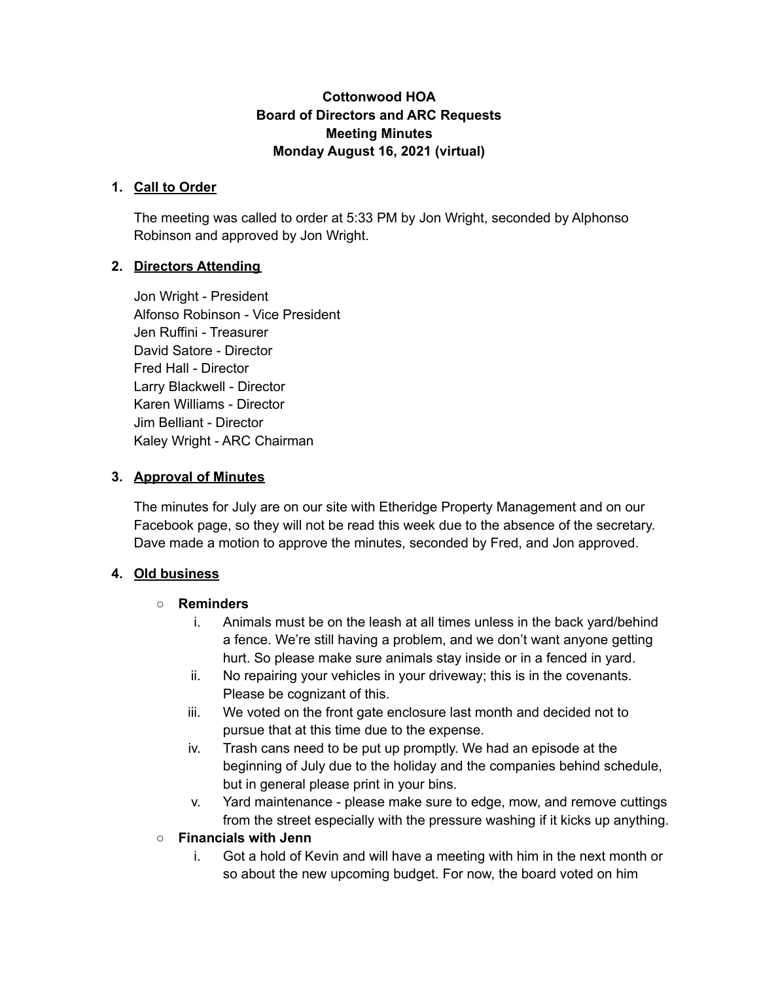#### **Cottonwood HOA Board of Directors and ARC Requests Meeting Minutes Monday August 16, 2021 (virtual)**

#### **1. Call to Order**

The meeting was called to order at 5:33 PM by Jon Wright, seconded by Alphonso Robinson and approved by Jon Wright.

#### **2. Directors Attending**

Jon Wright - President Alfonso Robinson - Vice President Jen Ruffini - Treasurer David Satore - Director Fred Hall - Director Larry Blackwell - Director Karen Williams - Director Jim Belliant - Director Kaley Wright - ARC Chairman

#### **3. Approval of Minutes**

The minutes for July are on our site with Etheridge Property Management and on our Facebook page, so they will not be read this week due to the absence of the secretary. Dave made a motion to approve the minutes, seconded by Fred, and Jon approved.

#### **4. Old business**

#### **○ Reminders**

- i. Animals must be on the leash at all times unless in the back yard/behind a fence. We're still having a problem, and we don't want anyone getting hurt. So please make sure animals stay inside or in a fenced in yard.
- ii. No repairing your vehicles in your driveway; this is in the covenants. Please be cognizant of this.
- iii. We voted on the front gate enclosure last month and decided not to pursue that at this time due to the expense.
- iv. Trash cans need to be put up promptly. We had an episode at the beginning of July due to the holiday and the companies behind schedule, but in general please print in your bins.
- v. Yard maintenance please make sure to edge, mow, and remove cuttings from the street especially with the pressure washing if it kicks up anything.
- **○ Financials with Jenn**
	- i. Got a hold of Kevin and will have a meeting with him in the next month or so about the new upcoming budget. For now, the board voted on him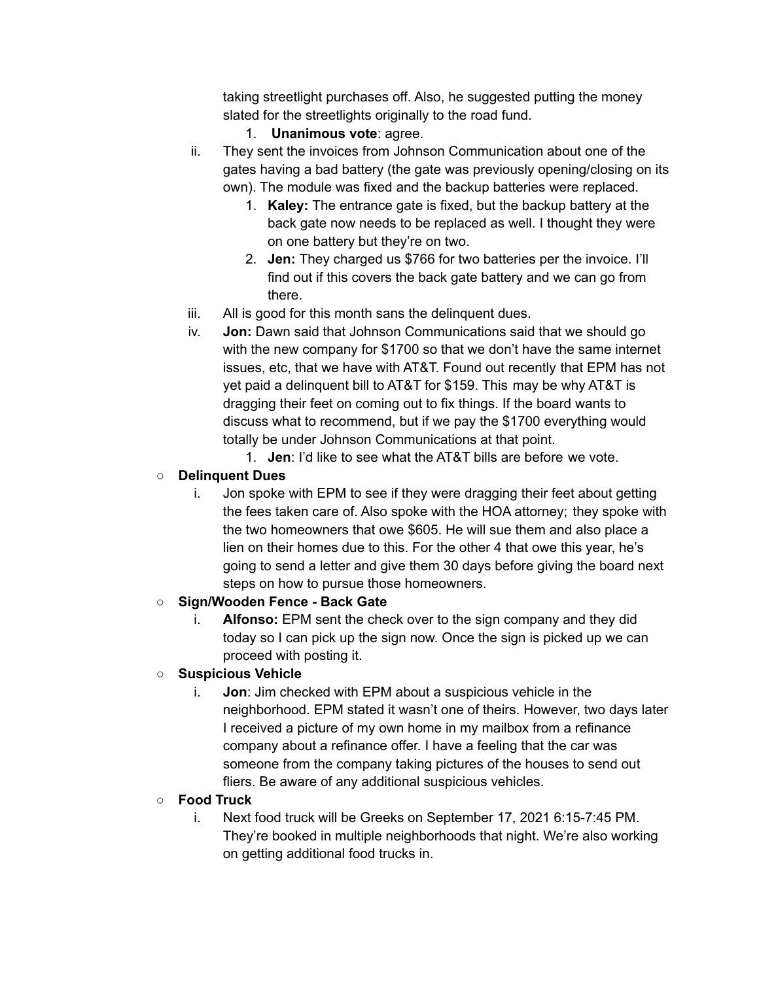taking streetlight purchases off. Also, he suggested putting the money slated for the streetlights originally to the road fund.

- 1. **Unanimous vote**: agree.
- ii. They sent the invoices from Johnson Communication about one of the gates having a bad battery (the gate was previously opening/closing on its own). The module was fixed and the backup batteries were replaced.
	- 1. **Kaley:** The entrance gate is fixed, but the backup battery at the back gate now needs to be replaced as well. I thought they were on one battery but they're on two.
	- 2. **Jen:** They charged us \$766 for two batteries per the invoice. I'll find out if this covers the back gate battery and we can go from there.
- iii. All is good for this month sans the delinquent dues.
- iv. **Jon:** Dawn said that Johnson Communications said that we should go with the new company for \$1700 so that we don't have the same internet issues, etc, that we have with AT&T. Found out recently that EPM has not yet paid a delinquent bill to AT&T for \$159. This may be why AT&T is dragging their feet on coming out to fix things. If the board wants to discuss what to recommend, but if we pay the \$1700 everything would totally be under Johnson Communications at that point.
	- 1. **Jen**: I'd like to see what the AT&T bills are before we vote.

## ○ **Delinquent Dues**

i. Jon spoke with EPM to see if they were dragging their feet about getting the fees taken care of. Also spoke with the HOA attorney; they spoke with the two homeowners that owe \$605. He will sue them and also place a lien on their homes due to this. For the other 4 that owe this year, he's going to send a letter and give them 30 days before giving the board next steps on how to pursue those homeowners.

#### **○ Sign/Wooden Fence - Back Gate**

i. **Alfonso:** EPM sent the check over to the sign company and they did today so I can pick up the sign now. Once the sign is picked up we can proceed with posting it.

## **○ Suspicious Vehicle**

i. **Jon**: Jim checked with EPM about a suspicious vehicle in the neighborhood. EPM stated it wasn't one of theirs. However, two days later I received a picture of my own home in my mailbox from a refinance company about a refinance offer. I have a feeling that the car was someone from the company taking pictures of the houses to send out fliers. Be aware of any additional suspicious vehicles.

#### **○ Food Truck**

i. Next food truck will be Greeks on September 17, 2021 6:15-7:45 PM. They're booked in multiple neighborhoods that night. We're also working on getting additional food trucks in.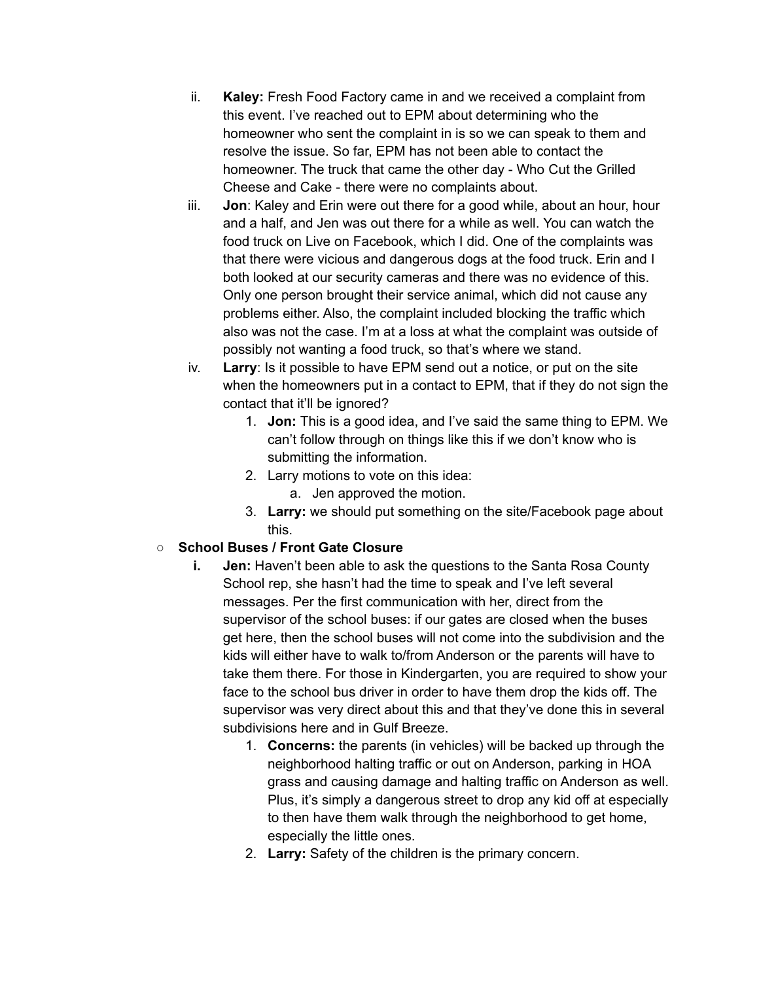- ii. **Kaley:** Fresh Food Factory came in and we received a complaint from this event. I've reached out to EPM about determining who the homeowner who sent the complaint in is so we can speak to them and resolve the issue. So far, EPM has not been able to contact the homeowner. The truck that came the other day - Who Cut the Grilled Cheese and Cake - there were no complaints about.
- iii. **Jon**: Kaley and Erin were out there for a good while, about an hour, hour and a half, and Jen was out there for a while as well. You can watch the food truck on Live on Facebook, which I did. One of the complaints was that there were vicious and dangerous dogs at the food truck. Erin and I both looked at our security cameras and there was no evidence of this. Only one person brought their service animal, which did not cause any problems either. Also, the complaint included blocking the traffic which also was not the case. I'm at a loss at what the complaint was outside of possibly not wanting a food truck, so that's where we stand.
- iv. **Larry**: Is it possible to have EPM send out a notice, or put on the site when the homeowners put in a contact to EPM, that if they do not sign the contact that it'll be ignored?
	- 1. **Jon:** This is a good idea, and I've said the same thing to EPM. We can't follow through on things like this if we don't know who is submitting the information.
	- 2. Larry motions to vote on this idea:
		- a. Jen approved the motion.
	- 3. **Larry:** we should put something on the site/Facebook page about this.

#### **○ School Buses / Front Gate Closure**

- **i. Jen:** Haven't been able to ask the questions to the Santa Rosa County School rep, she hasn't had the time to speak and I've left several messages. Per the first communication with her, direct from the supervisor of the school buses: if our gates are closed when the buses get here, then the school buses will not come into the subdivision and the kids will either have to walk to/from Anderson or the parents will have to take them there. For those in Kindergarten, you are required to show your face to the school bus driver in order to have them drop the kids off. The supervisor was very direct about this and that they've done this in several subdivisions here and in Gulf Breeze.
	- 1. **Concerns:** the parents (in vehicles) will be backed up through the neighborhood halting traffic or out on Anderson, parking in HOA grass and causing damage and halting traffic on Anderson as well. Plus, it's simply a dangerous street to drop any kid off at especially to then have them walk through the neighborhood to get home, especially the little ones.
	- 2. **Larry:** Safety of the children is the primary concern.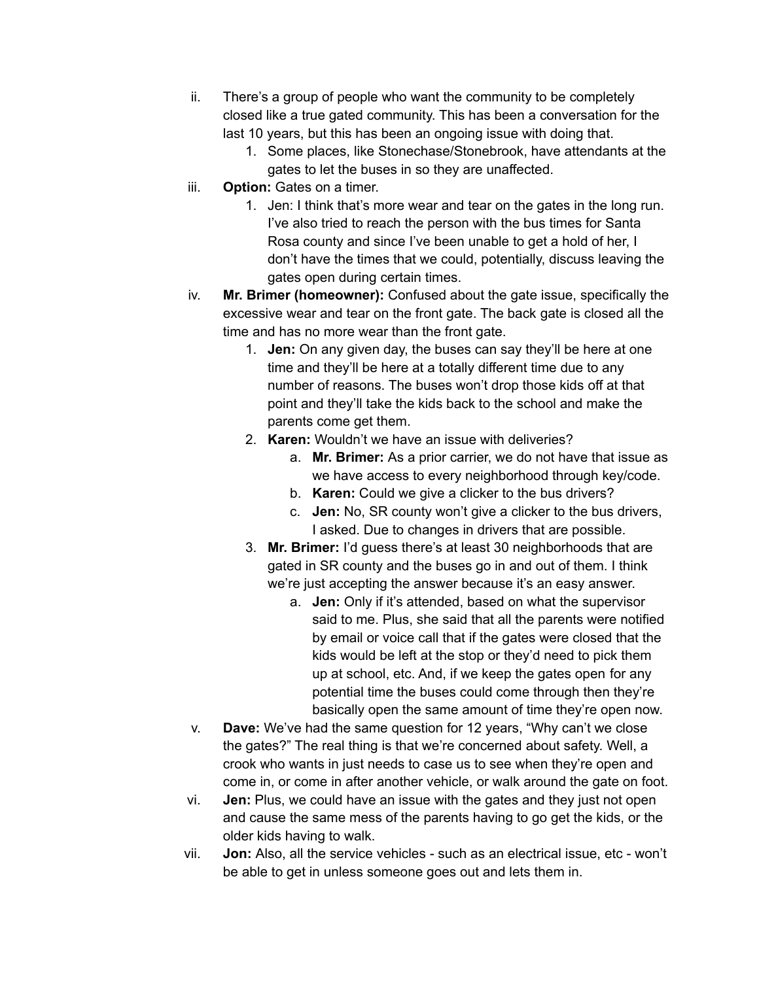- ii. There's a group of people who want the community to be completely closed like a true gated community. This has been a conversation for the last 10 years, but this has been an ongoing issue with doing that.
	- 1. Some places, like Stonechase/Stonebrook, have attendants at the gates to let the buses in so they are unaffected.
- iii. **Option:** Gates on a timer.
	- 1. Jen: I think that's more wear and tear on the gates in the long run. I've also tried to reach the person with the bus times for Santa Rosa county and since I've been unable to get a hold of her, I don't have the times that we could, potentially, discuss leaving the gates open during certain times.
- iv. **Mr. Brimer (homeowner):** Confused about the gate issue, specifically the excessive wear and tear on the front gate. The back gate is closed all the time and has no more wear than the front gate.
	- 1. **Jen:** On any given day, the buses can say they'll be here at one time and they'll be here at a totally different time due to any number of reasons. The buses won't drop those kids off at that point and they'll take the kids back to the school and make the parents come get them.
	- 2. **Karen:** Wouldn't we have an issue with deliveries?
		- a. **Mr. Brimer:** As a prior carrier, we do not have that issue as we have access to every neighborhood through key/code.
		- b. **Karen:** Could we give a clicker to the bus drivers?
		- c. **Jen:** No, SR county won't give a clicker to the bus drivers, I asked. Due to changes in drivers that are possible.
	- 3. **Mr. Brimer:** I'd guess there's at least 30 neighborhoods that are gated in SR county and the buses go in and out of them. I think we're just accepting the answer because it's an easy answer.
		- a. **Jen:** Only if it's attended, based on what the supervisor said to me. Plus, she said that all the parents were notified by email or voice call that if the gates were closed that the kids would be left at the stop or they'd need to pick them up at school, etc. And, if we keep the gates open for any potential time the buses could come through then they're basically open the same amount of time they're open now.
- v. **Dave:** We've had the same question for 12 years, "Why can't we close the gates?" The real thing is that we're concerned about safety. Well, a crook who wants in just needs to case us to see when they're open and come in, or come in after another vehicle, or walk around the gate on foot.
- vi. **Jen:** Plus, we could have an issue with the gates and they just not open and cause the same mess of the parents having to go get the kids, or the older kids having to walk.
- vii. **Jon:** Also, all the service vehicles such as an electrical issue, etc won't be able to get in unless someone goes out and lets them in.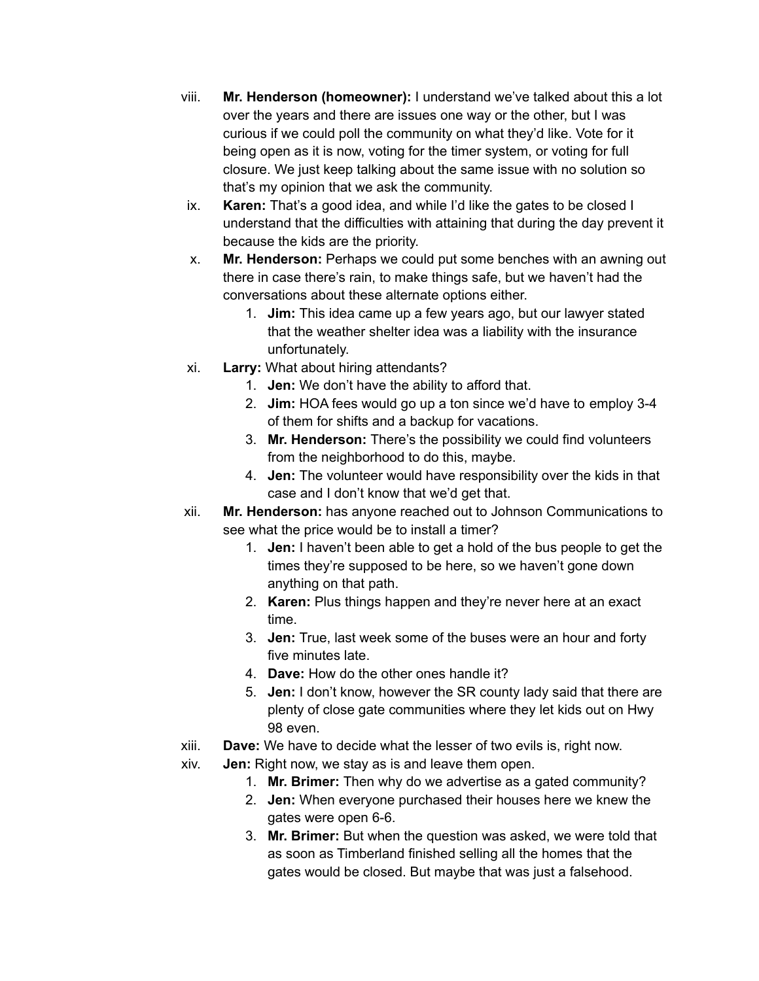- viii. **Mr. Henderson (homeowner):** I understand we've talked about this a lot over the years and there are issues one way or the other, but I was curious if we could poll the community on what they'd like. Vote for it being open as it is now, voting for the timer system, or voting for full closure. We just keep talking about the same issue with no solution so that's my opinion that we ask the community.
- ix. **Karen:** That's a good idea, and while I'd like the gates to be closed I understand that the difficulties with attaining that during the day prevent it because the kids are the priority.
- x. **Mr. Henderson:** Perhaps we could put some benches with an awning out there in case there's rain, to make things safe, but we haven't had the conversations about these alternate options either.
	- 1. **Jim:** This idea came up a few years ago, but our lawyer stated that the weather shelter idea was a liability with the insurance unfortunately.
- xi. **Larry:** What about hiring attendants?
	- 1. **Jen:** We don't have the ability to afford that.
	- 2. **Jim:** HOA fees would go up a ton since we'd have to employ 3-4 of them for shifts and a backup for vacations.
	- 3. **Mr. Henderson:** There's the possibility we could find volunteers from the neighborhood to do this, maybe.
	- 4. **Jen:** The volunteer would have responsibility over the kids in that case and I don't know that we'd get that.
- xii. **Mr. Henderson:** has anyone reached out to Johnson Communications to see what the price would be to install a timer?
	- 1. **Jen:** I haven't been able to get a hold of the bus people to get the times they're supposed to be here, so we haven't gone down anything on that path.
	- 2. **Karen:** Plus things happen and they're never here at an exact time.
	- 3. **Jen:** True, last week some of the buses were an hour and forty five minutes late.
	- 4. **Dave:** How do the other ones handle it?
	- 5. **Jen:** I don't know, however the SR county lady said that there are plenty of close gate communities where they let kids out on Hwy 98 even.
- xiii. **Dave:** We have to decide what the lesser of two evils is, right now.
- xiv. **Jen:** Right now, we stay as is and leave them open.
	- 1. **Mr. Brimer:** Then why do we advertise as a gated community?
	- 2. **Jen:** When everyone purchased their houses here we knew the gates were open 6-6.
	- 3. **Mr. Brimer:** But when the question was asked, we were told that as soon as Timberland finished selling all the homes that the gates would be closed. But maybe that was just a falsehood.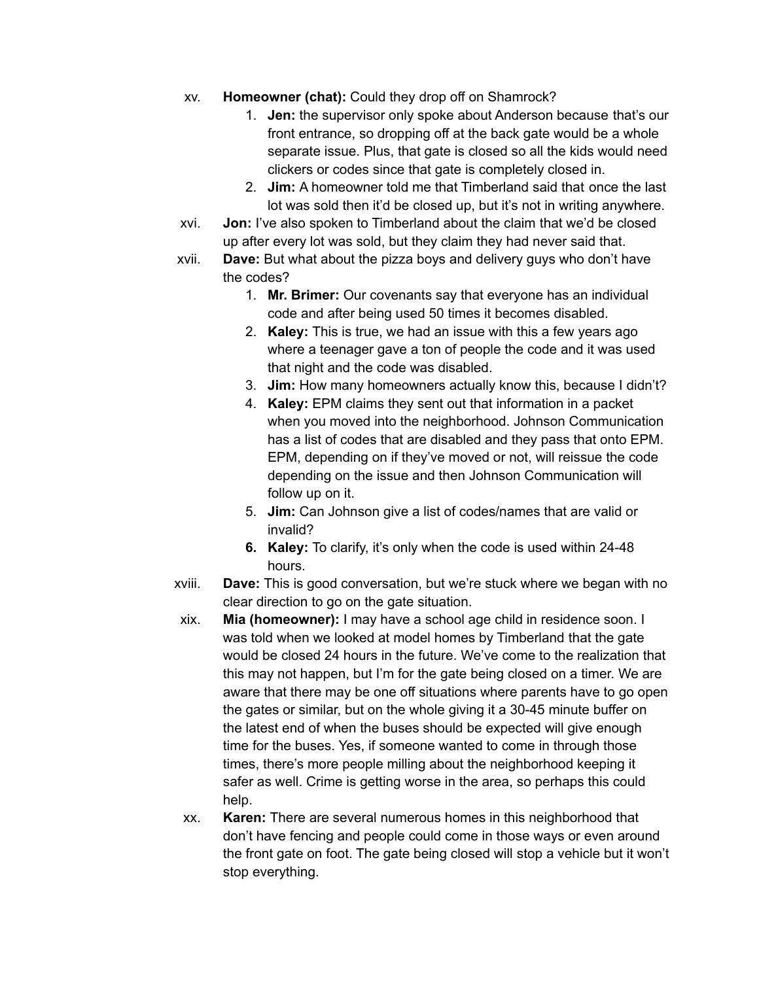- xv. **Homeowner (chat):** Could they drop off on Shamrock?
	- 1. **Jen:** the supervisor only spoke about Anderson because that's our front entrance, so dropping off at the back gate would be a whole separate issue. Plus, that gate is closed so all the kids would need clickers or codes since that gate is completely closed in.
	- 2. **Jim:** A homeowner told me that Timberland said that once the last lot was sold then it'd be closed up, but it's not in writing anywhere.
- xvi. **Jon:** I've also spoken to Timberland about the claim that we'd be closed up after every lot was sold, but they claim they had never said that.
- xvii. **Dave:** But what about the pizza boys and delivery guys who don't have the codes?
	- 1. **Mr. Brimer:** Our covenants say that everyone has an individual code and after being used 50 times it becomes disabled.
	- 2. **Kaley:** This is true, we had an issue with this a few years ago where a teenager gave a ton of people the code and it was used that night and the code was disabled.
	- 3. **Jim:** How many homeowners actually know this, because I didn't?
	- 4. **Kaley:** EPM claims they sent out that information in a packet when you moved into the neighborhood. Johnson Communication has a list of codes that are disabled and they pass that onto EPM. EPM, depending on if they've moved or not, will reissue the code depending on the issue and then Johnson Communication will follow up on it.
	- 5. **Jim:** Can Johnson give a list of codes/names that are valid or invalid?
	- **6. Kaley:** To clarify, it's only when the code is used within 24-48 hours.
- xviii. **Dave:** This is good conversation, but we're stuck where we began with no clear direction to go on the gate situation.
- xix. **Mia (homeowner):** I may have a school age child in residence soon. I was told when we looked at model homes by Timberland that the gate would be closed 24 hours in the future. We've come to the realization that this may not happen, but I'm for the gate being closed on a timer. We are aware that there may be one off situations where parents have to go open the gates or similar, but on the whole giving it a 30-45 minute buffer on the latest end of when the buses should be expected will give enough time for the buses. Yes, if someone wanted to come in through those times, there's more people milling about the neighborhood keeping it safer as well. Crime is getting worse in the area, so perhaps this could help.
- xx. **Karen:** There are several numerous homes in this neighborhood that don't have fencing and people could come in those ways or even around the front gate on foot. The gate being closed will stop a vehicle but it won't stop everything.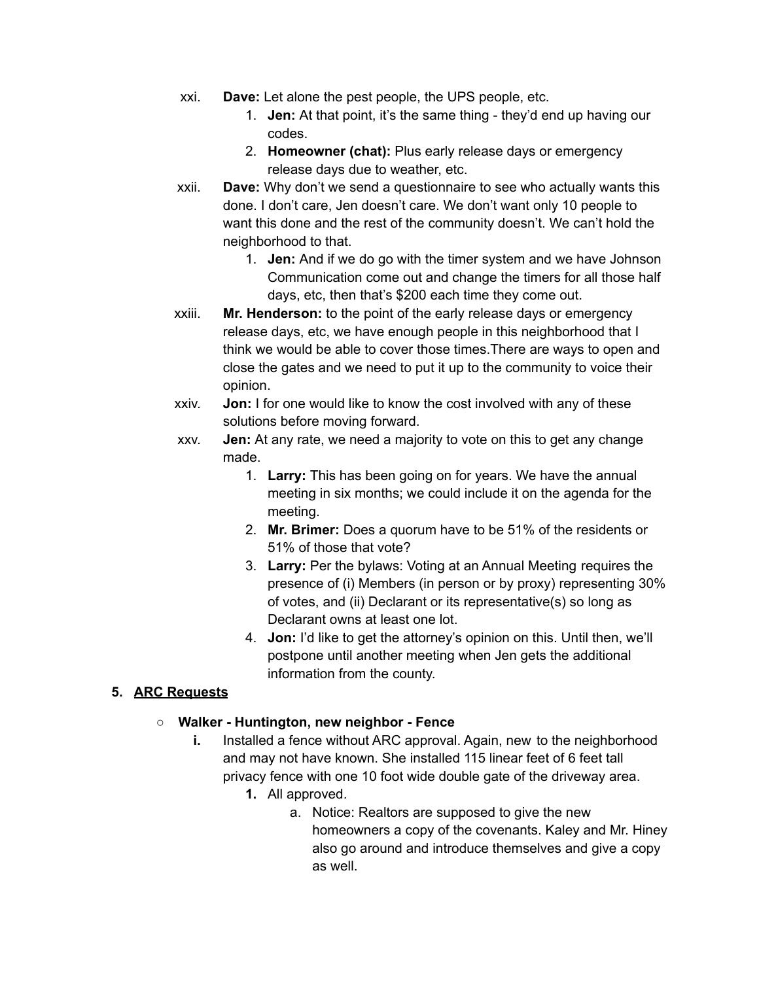- xxi. **Dave:** Let alone the pest people, the UPS people, etc.
	- 1. **Jen:** At that point, it's the same thing they'd end up having our codes.
	- 2. **Homeowner (chat):** Plus early release days or emergency release days due to weather, etc.
- xxii. **Dave:** Why don't we send a questionnaire to see who actually wants this done. I don't care, Jen doesn't care. We don't want only 10 people to want this done and the rest of the community doesn't. We can't hold the neighborhood to that.
	- 1. **Jen:** And if we do go with the timer system and we have Johnson Communication come out and change the timers for all those half days, etc, then that's \$200 each time they come out.
- xxiii. **Mr. Henderson:** to the point of the early release days or emergency release days, etc, we have enough people in this neighborhood that I think we would be able to cover those times.There are ways to open and close the gates and we need to put it up to the community to voice their opinion.
- xxiv. **Jon:** I for one would like to know the cost involved with any of these solutions before moving forward.
- xxv. **Jen:** At any rate, we need a majority to vote on this to get any change made.
	- 1. **Larry:** This has been going on for years. We have the annual meeting in six months; we could include it on the agenda for the meeting.
	- 2. **Mr. Brimer:** Does a quorum have to be 51% of the residents or 51% of those that vote?
	- 3. **Larry:** Per the bylaws: Voting at an Annual Meeting requires the presence of (i) Members (in person or by proxy) representing 30% of votes, and (ii) Declarant or its representative(s) so long as Declarant owns at least one lot.
	- 4. **Jon:** I'd like to get the attorney's opinion on this. Until then, we'll postpone until another meeting when Jen gets the additional information from the county.

## **5. ARC Requests**

#### **○ Walker - Huntington, new neighbor - Fence**

- **i.** Installed a fence without ARC approval. Again, new to the neighborhood and may not have known. She installed 115 linear feet of 6 feet tall privacy fence with one 10 foot wide double gate of the driveway area.
	- **1.** All approved.
		- a. Notice: Realtors are supposed to give the new homeowners a copy of the covenants. Kaley and Mr. Hiney also go around and introduce themselves and give a copy as well.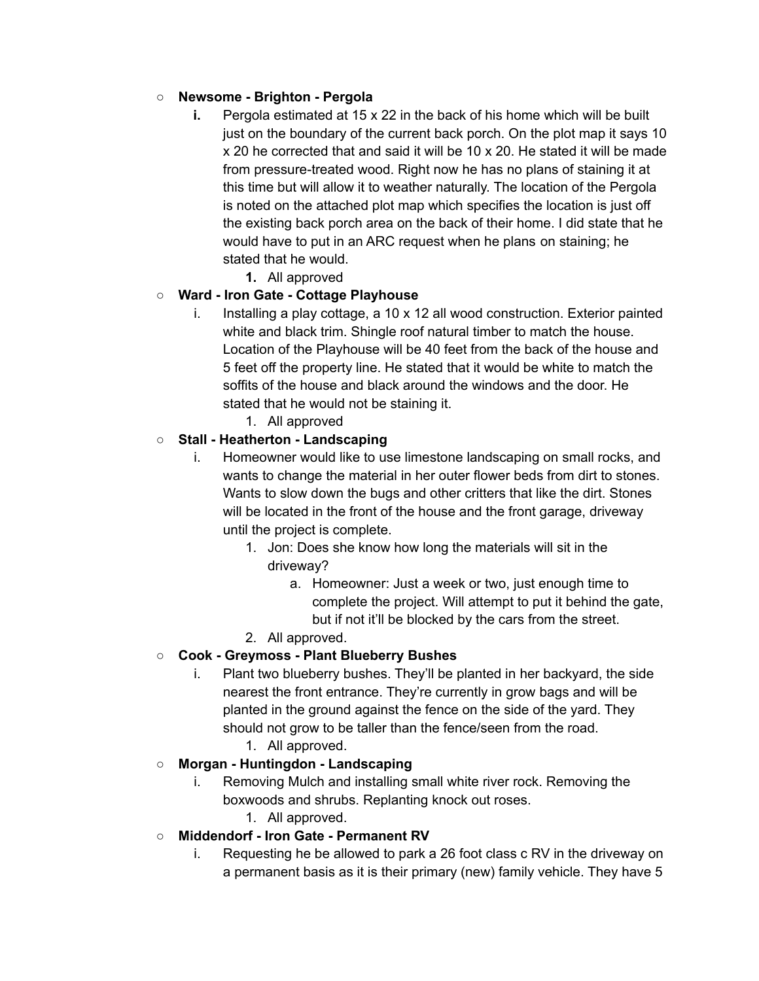### **○ Newsome - Brighton - Pergola**

- **i.** Pergola estimated at 15 x 22 in the back of his home which will be built just on the boundary of the current back porch. On the plot map it says 10 x 20 he corrected that and said it will be 10 x 20. He stated it will be made from pressure-treated wood. Right now he has no plans of staining it at this time but will allow it to weather naturally. The location of the Pergola is noted on the attached plot map which specifies the location is just off the existing back porch area on the back of their home. I did state that he would have to put in an ARC request when he plans on staining; he stated that he would.
	- **1.** All approved

### **○ Ward - Iron Gate - Cottage Playhouse**

- i. Installing a play cottage, a 10 x 12 all wood construction. Exterior painted white and black trim. Shingle roof natural timber to match the house. Location of the Playhouse will be 40 feet from the back of the house and 5 feet off the property line. He stated that it would be white to match the soffits of the house and black around the windows and the door. He stated that he would not be staining it.
	- 1. All approved

### **○ Stall - Heatherton - Landscaping**

- i. Homeowner would like to use limestone landscaping on small rocks, and wants to change the material in her outer flower beds from dirt to stones. Wants to slow down the bugs and other critters that like the dirt. Stones will be located in the front of the house and the front garage, driveway until the project is complete.
	- 1. Jon: Does she know how long the materials will sit in the driveway?
		- a. Homeowner: Just a week or two, just enough time to complete the project. Will attempt to put it behind the gate, but if not it'll be blocked by the cars from the street.
	- 2. All approved.

## **○ Cook - Greymoss - Plant Blueberry Bushes**

- i. Plant two blueberry bushes. They'll be planted in her backyard, the side nearest the front entrance. They're currently in grow bags and will be planted in the ground against the fence on the side of the yard. They should not grow to be taller than the fence/seen from the road.
- 1. All approved. **○ Morgan - Huntingdon - Landscaping**

# i. Removing Mulch and installing small white river rock. Removing the boxwoods and shrubs. Replanting knock out roses.

1. All approved.

## **○ Middendorf - Iron Gate - Permanent RV**

i. Requesting he be allowed to park a 26 foot class c RV in the driveway on a permanent basis as it is their primary (new) family vehicle. They have 5